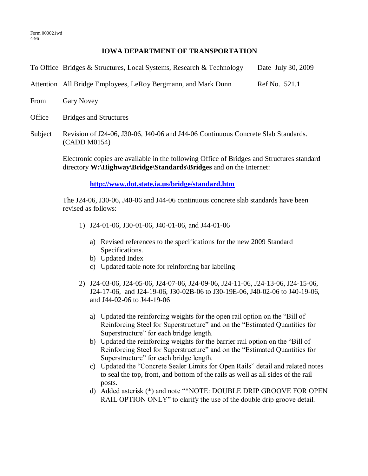## **IOWA DEPARTMENT OF TRANSPORTATION**

|  | To Office Bridges & Structures, Local Systems, Research & Technology | Date July 30, 2009 |
|--|----------------------------------------------------------------------|--------------------|
|  |                                                                      |                    |

Attention All Bridge Employees, LeRoy Bergmann, and Mark Dunn Ref No. 521.1

From Gary Novey

Office Bridges and Structures

Subject Revision of J24-06, J30-06, J40-06 and J44-06 Continuous Concrete Slab Standards. (CADD M0154)

> Electronic copies are available in the following Office of Bridges and Structures standard directory **W:\Highway\Bridge\Standards\Bridges** and on the Internet:

> > **http://www.dot.state.ia.us/bridge/standard.htm**

The J24-06, J30-06, J40-06 and J44-06 continuous concrete slab standards have been revised as follows:

- 1) J24-01-06, J30-01-06, J40-01-06, and J44-01-06
	- a) Revised references to the specifications for the new 2009 Standard Specifications.
	- b) Updated Index
	- c) Updated table note for reinforcing bar labeling
- 2) J24-03-06, J24-05-06, J24-07-06, J24-09-06, J24-11-06, J24-13-06, J24-15-06, J24-17-06, and J24-19-06, J30-02B-06 to J30-19E-06, J40-02-06 to J40-19-06, and J44-02-06 to J44-19-06
	- a) Updated the reinforcing weights for the open rail option on the "Bill of Reinforcing Steel for Superstructure" and on the "Estimated Quantities for Superstructure" for each bridge length.
	- b) Updated the reinforcing weights for the barrier rail option on the "Bill of Reinforcing Steel for Superstructure" and on the "Estimated Quantities for Superstructure" for each bridge length.
	- c) Updated the "Concrete Sealer Limits for Open Rails" detail and related notes to seal the top, front, and bottom of the rails as well as all sides of the rail posts.
	- d) Added asterisk (\*) and note "\*NOTE: DOUBLE DRIP GROOVE FOR OPEN RAIL OPTION ONLY" to clarify the use of the double drip groove detail.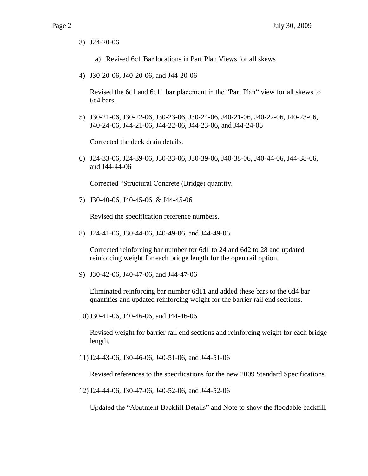3) J24-20-06

- a) Revised 6c1 Bar locations in Part Plan Views for all skews
- 4) J30-20-06, J40-20-06, and J44-20-06

Revised the 6c1 and 6c11 bar placement in the "Part Plan" view for all skews to 6c4 bars.

5) J30-21-06, J30-22-06, J30-23-06, J30-24-06, J40-21-06, J40-22-06, J40-23-06, J40-24-06, J44-21-06, J44-22-06, J44-23-06, and J44-24-06

Corrected the deck drain details.

6) J24-33-06, J24-39-06, J30-33-06, J30-39-06, J40-38-06, J40-44-06, J44-38-06, and J44-44-06

Corrected "Structural Concrete (Bridge) quantity.

7) J30-40-06, J40-45-06, & J44-45-06

Revised the specification reference numbers.

8) J24-41-06, J30-44-06, J40-49-06, and J44-49-06

Corrected reinforcing bar number for 6d1 to 24 and 6d2 to 28 and updated reinforcing weight for each bridge length for the open rail option.

9) J30-42-06, J40-47-06, and J44-47-06

Eliminated reinforcing bar number 6d11 and added these bars to the 6d4 bar quantities and updated reinforcing weight for the barrier rail end sections.

10)J30-41-06, J40-46-06, and J44-46-06

Revised weight for barrier rail end sections and reinforcing weight for each bridge length.

11)J24-43-06, J30-46-06, J40-51-06, and J44-51-06

Revised references to the specifications for the new 2009 Standard Specifications.

12)J24-44-06, J30-47-06, J40-52-06, and J44-52-06

Updated the "Abutment Backfill Details" and Note to show the floodable backfill.